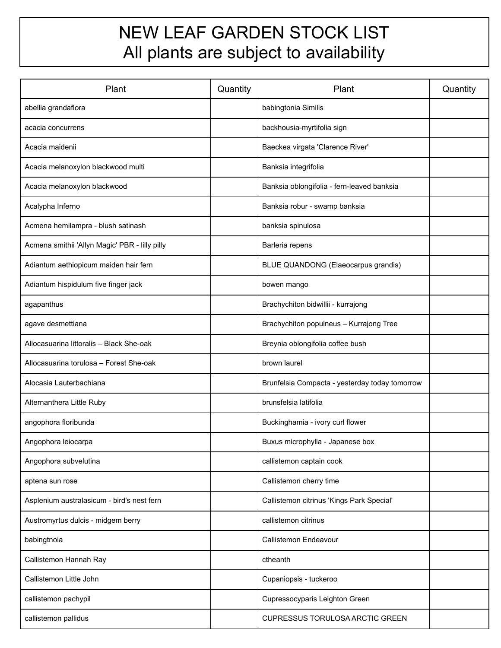## NEW LEAF GARDEN STOCK LIST All plants are subject to availability

| Plant                                          | Quantity | Plant                                          | Quantity |
|------------------------------------------------|----------|------------------------------------------------|----------|
| abellia grandaflora                            |          | babingtonia Similis                            |          |
| acacia concurrens                              |          | backhousia-myrtifolia sign                     |          |
| Acacia maidenii                                |          | Baeckea virgata 'Clarence River'               |          |
| Acacia melanoxylon blackwood multi             |          | Banksia integrifolia                           |          |
| Acacia melanoxylon blackwood                   |          | Banksia oblongifolia - fern-leaved banksia     |          |
| Acalypha Inferno                               |          | Banksia robur - swamp banksia                  |          |
| Acmena hemilampra - blush satinash             |          | banksia spinulosa                              |          |
| Acmena smithii 'Allyn Magic' PBR - lilly pilly |          | Barleria repens                                |          |
| Adiantum aethiopicum maiden hair fern          |          | BLUE QUANDONG (Elaeocarpus grandis)            |          |
| Adiantum hispidulum five finger jack           |          | bowen mango                                    |          |
| agapanthus                                     |          | Brachychiton bidwillii - kurrajong             |          |
| agave desmettiana                              |          | Brachychiton populneus - Kurrajong Tree        |          |
| Allocasuarina littoralis - Black She-oak       |          | Breynia oblongifolia coffee bush               |          |
| Allocasuarina torulosa - Forest She-oak        |          | brown laurel                                   |          |
| Alocasia Lauterbachiana                        |          | Brunfelsia Compacta - yesterday today tomorrow |          |
| Alternanthera Little Ruby                      |          | brunsfelsia latifolia                          |          |
| angophora floribunda                           |          | Buckinghamia - ivory curl flower               |          |
| Angophora leiocarpa                            |          | Buxus microphylla - Japanese box               |          |
| Angophora subvelutina                          |          | callistemon captain cook                       |          |
| aptena sun rose                                |          | Callistemon cherry time                        |          |
| Asplenium australasicum - bird's nest fern     |          | Callistemon citrinus 'Kings Park Special'      |          |
| Austromyrtus dulcis - midgem berry             |          | callistemon citrinus                           |          |
| babingtnoia                                    |          | Callistemon Endeavour                          |          |
| Callistemon Hannah Ray                         |          | ctheanth                                       |          |
| Callistemon Little John                        |          | Cupaniopsis - tuckeroo                         |          |
| callistemon pachypil                           |          | Cupressocyparis Leighton Green                 |          |
| callistemon pallidus                           |          | CUPRESSUS TORULOSA ARCTIC GREEN                |          |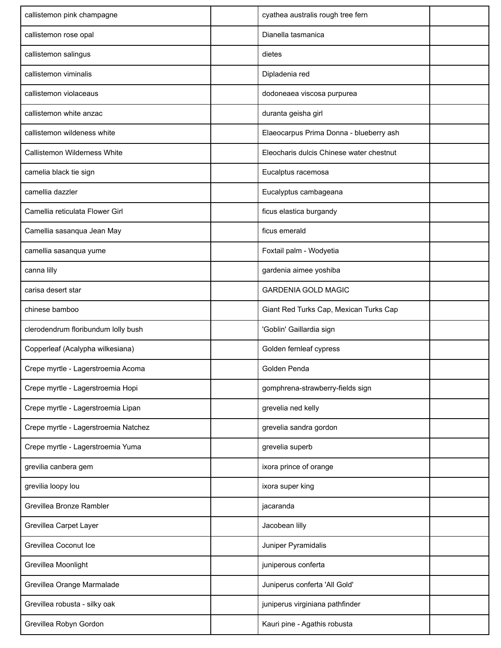| callistemon pink champagne           | cyathea australis rough tree fern        |  |
|--------------------------------------|------------------------------------------|--|
| callistemon rose opal                | Dianella tasmanica                       |  |
| callistemon salingus                 | dietes                                   |  |
| callistemon viminalis                | Dipladenia red                           |  |
| callistemon violaceaus               | dodoneaea viscosa purpurea               |  |
| callistemon white anzac              | duranta geisha girl                      |  |
| callistemon wildeness white          | Elaeocarpus Prima Donna - blueberry ash  |  |
| Callistemon Wilderness White         | Eleocharis dulcis Chinese water chestnut |  |
| camelia black tie sign               | Eucalptus racemosa                       |  |
| camellia dazzler                     | Eucalyptus cambageana                    |  |
| Camellia reticulata Flower Girl      | ficus elastica burgandy                  |  |
| Camellia sasanqua Jean May           | ficus emerald                            |  |
| camellia sasanqua yume               | Foxtail palm - Wodyetia                  |  |
| canna lilly                          | gardenia aimee yoshiba                   |  |
| carisa desert star                   | <b>GARDENIA GOLD MAGIC</b>               |  |
| chinese bamboo                       | Giant Red Turks Cap, Mexican Turks Cap   |  |
| clerodendrum floribundum lolly bush  | 'Goblin' Gaillardia sign                 |  |
| Copperleaf (Acalypha wilkesiana)     | Golden fernleaf cypress                  |  |
| Crepe myrtle - Lagerstroemia Acoma   | Golden Penda                             |  |
| Crepe myrtle - Lagerstroemia Hopi    | gomphrena-strawberry-fields sign         |  |
| Crepe myrtle - Lagerstroemia Lipan   | grevelia ned kelly                       |  |
| Crepe myrtle - Lagerstroemia Natchez | grevelia sandra gordon                   |  |
| Crepe myrtle - Lagerstroemia Yuma    | grevelia superb                          |  |
| grevilia canbera gem                 | ixora prince of orange                   |  |
| grevilia loopy lou                   | ixora super king                         |  |
| Grevillea Bronze Rambler             | jacaranda                                |  |
| Grevillea Carpet Layer               | Jacobean lilly                           |  |
| Grevillea Coconut Ice                | Juniper Pyramidalis                      |  |
| Grevillea Moonlight                  | juniperous conferta                      |  |
| Grevillea Orange Marmalade           | Juniperus conferta 'All Gold'            |  |
| Grevillea robusta - silky oak        | juniperus virginiana pathfinder          |  |
| Grevillea Robyn Gordon               | Kauri pine - Agathis robusta             |  |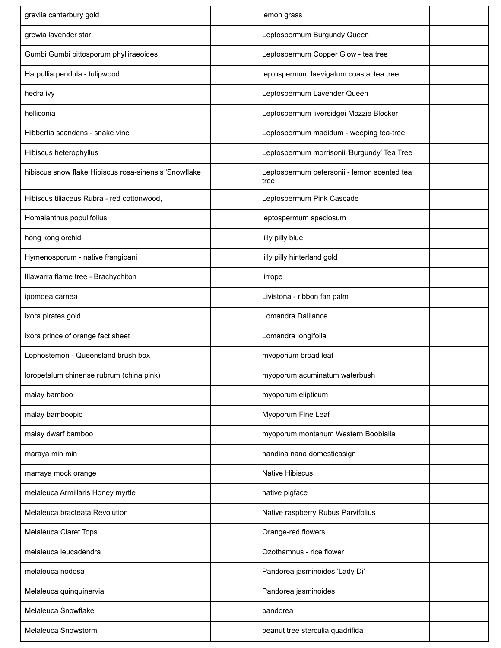| grevlia canterbury gold                               | lemon grass                                         |  |
|-------------------------------------------------------|-----------------------------------------------------|--|
| grewia lavender star                                  | Leptospermum Burgundy Queen                         |  |
| Gumbi Gumbi pittosporum phylliraeoides                | Leptospermum Copper Glow - tea tree                 |  |
| Harpullia pendula - tulipwood                         | leptospermum laevigatum coastal tea tree            |  |
| hedra ivy                                             | Leptospermum Lavender Queen                         |  |
| helliconia                                            | Leptospermum liversidgei Mozzie Blocker             |  |
| Hibbertia scandens - snake vine                       | Leptospermum madidum - weeping tea-tree             |  |
| Hibiscus heterophyllus                                | Leptospermum morrisonii 'Burgundy' Tea Tree         |  |
| hibiscus snow flake Hibiscus rosa-sinensis 'Snowflake | Leptospermum petersonii - lemon scented tea<br>tree |  |
| Hibiscus tiliaceus Rubra - red cottonwood,            | Leptospermum Pink Cascade                           |  |
| Homalanthus populifolius                              | leptospermum speciosum                              |  |
| hong kong orchid                                      | lilly pilly blue                                    |  |
| Hymenosporum - native frangipani                      | lilly pilly hinterland gold                         |  |
| Illawarra flame tree - Brachychiton                   | lirrope                                             |  |
| ipomoea carnea                                        | Livistona - ribbon fan palm                         |  |
| ixora pirates gold                                    | Lomandra Dalliance                                  |  |
| ixora prince of orange fact sheet                     | Lomandra longifolia                                 |  |
| Lophostemon - Queensland brush box                    | myoporium broad leaf                                |  |
| loropetalum chinense rubrum (china pink)              | myoporum acuminatum waterbush                       |  |
| malay bamboo                                          | myoporum elipticum                                  |  |
| malay bamboopic                                       | Myoporum Fine Leaf                                  |  |
| malay dwarf bamboo                                    | myoporum montanum Western Boobialla                 |  |
| maraya min min                                        | nandina nana domesticasign                          |  |
| marraya mock orange                                   | <b>Native Hibiscus</b>                              |  |
| melaleuca Armillaris Honey myrtle                     | native pigface                                      |  |
| Melaleuca bracteata Revolution                        | Native raspberry Rubus Parvifolius                  |  |
| Melaleuca Claret Tops                                 | Orange-red flowers                                  |  |
| melaleuca leucadendra                                 | Ozothamnus - rice flower                            |  |
| melaleuca nodosa                                      | Pandorea jasminoides 'Lady Di'                      |  |
| Melaleuca quinquinervia                               | Pandorea jasminoides                                |  |
| Melaleuca Snowflake                                   | pandorea                                            |  |
| Melaleuca Snowstorm                                   | peanut tree sterculia quadrifida                    |  |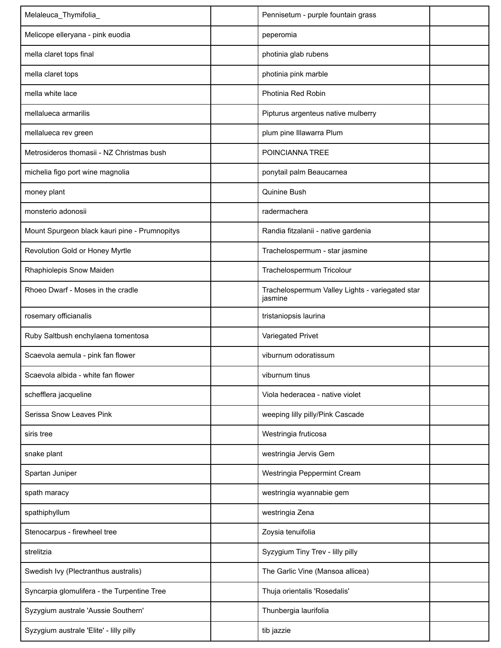| Melaleuca_Thymifolia_                         | Pennisetum - purple fountain grass                         |  |
|-----------------------------------------------|------------------------------------------------------------|--|
| Melicope elleryana - pink euodia              | peperomia                                                  |  |
| mella claret tops final                       | photinia glab rubens                                       |  |
| mella claret tops                             | photinia pink marble                                       |  |
| mella white lace                              | Photinia Red Robin                                         |  |
| mellalueca armarilis                          | Pipturus argenteus native mulberry                         |  |
| mellalueca rev green                          | plum pine Illawarra Plum                                   |  |
| Metrosideros thomasii - NZ Christmas bush     | POINCIANNA TREE                                            |  |
| michelia figo port wine magnolia              | ponytail palm Beaucarnea                                   |  |
| money plant                                   | Quinine Bush                                               |  |
| monsterio adonosii                            | radermachera                                               |  |
| Mount Spurgeon black kauri pine - Prumnopitys | Randia fitzalanii - native gardenia                        |  |
| Revolution Gold or Honey Myrtle               | Trachelospermum - star jasmine                             |  |
| Rhaphiolepis Snow Maiden                      | Trachelospermum Tricolour                                  |  |
| Rhoeo Dwarf - Moses in the cradle             | Trachelospermum Valley Lights - variegated star<br>jasmine |  |
| rosemary officianalis                         | tristaniopsis laurina                                      |  |
| Ruby Saltbush enchylaena tomentosa            | Variegated Privet                                          |  |
| Scaevola aemula - pink fan flower             | viburnum odoratissum                                       |  |
| Scaevola albida - white fan flower            | viburnum tinus                                             |  |
| schefflera jacqueline                         | Viola hederacea - native violet                            |  |
| Serissa Snow Leaves Pink                      | weeping lilly pilly/Pink Cascade                           |  |
| siris tree                                    | Westringia fruticosa                                       |  |
| snake plant                                   | westringia Jervis Gem                                      |  |
| Spartan Juniper                               | Westringia Peppermint Cream                                |  |
| spath maracy                                  | westringia wyannabie gem                                   |  |
| spathiphyllum                                 | westringia Zena                                            |  |
| Stenocarpus - firewheel tree                  | Zoysia tenuifolia                                          |  |
| strelitzia                                    | Syzygium Tiny Trev - lilly pilly                           |  |
| Swedish Ivy (Plectranthus australis)          | The Garlic Vine (Mansoa allicea)                           |  |
| Syncarpia glomulifera - the Turpentine Tree   | Thuja orientalis 'Rosedalis'                               |  |
| Syzygium australe 'Aussie Southern'           | Thunbergia laurifolia                                      |  |
| Syzygium australe 'Elite' - lilly pilly       | tib jazzie                                                 |  |